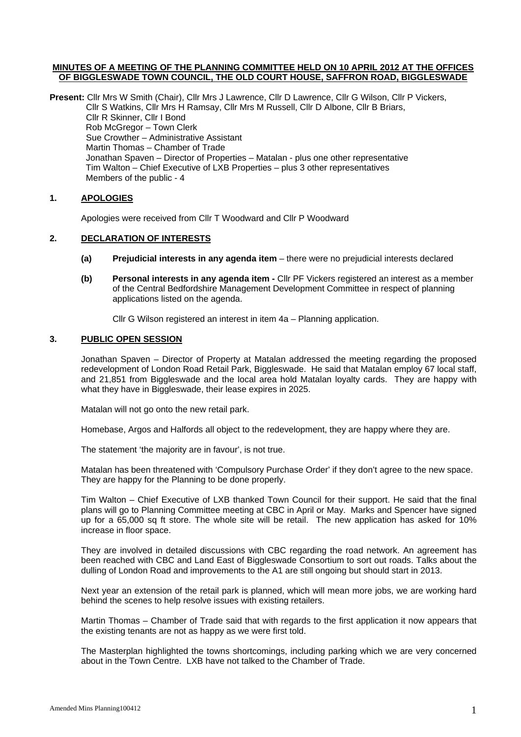## **MINUTES OF A MEETING OF THE PLANNING COMMITTEE HELD ON 10 APRIL 2012 AT THE OFFICES OF BIGGLESWADE TOWN COUNCIL, THE OLD COURT HOUSE, SAFFRON ROAD, BIGGLESWADE**

**Present:** Cllr Mrs W Smith (Chair), Cllr Mrs J Lawrence, Cllr D Lawrence, Cllr G Wilson, Cllr P Vickers, Cllr S Watkins, Cllr Mrs H Ramsay, Cllr Mrs M Russell, Cllr D Albone, Cllr B Briars, Cllr R Skinner, Cllr I Bond Rob McGregor – Town Clerk Sue Crowther – Administrative Assistant Martin Thomas – Chamber of Trade Jonathan Spaven – Director of Properties – Matalan - plus one other representative Tim Walton – Chief Executive of LXB Properties – plus 3 other representatives Members of the public - 4

# **1. APOLOGIES**

Apologies were received from Cllr T Woodward and Cllr P Woodward

# **2. DECLARATION OF INTERESTS**

- **(a) Prejudicial interests in any agenda item** there were no prejudicial interests declared
- **(b) Personal interests in any agenda item -** Cllr PF Vickers registered an interest as a member of the Central Bedfordshire Management Development Committee in respect of planning applications listed on the agenda.

Cllr G Wilson registered an interest in item 4a – Planning application.

#### **3. PUBLIC OPEN SESSION**

Jonathan Spaven – Director of Property at Matalan addressed the meeting regarding the proposed redevelopment of London Road Retail Park, Biggleswade. He said that Matalan employ 67 local staff, and 21,851 from Biggleswade and the local area hold Matalan loyalty cards. They are happy with what they have in Biggleswade, their lease expires in 2025.

Matalan will not go onto the new retail park.

Homebase, Argos and Halfords all object to the redevelopment, they are happy where they are.

The statement 'the majority are in favour', is not true.

Matalan has been threatened with 'Compulsory Purchase Order' if they don't agree to the new space. They are happy for the Planning to be done properly.

Tim Walton – Chief Executive of LXB thanked Town Council for their support. He said that the final plans will go to Planning Committee meeting at CBC in April or May. Marks and Spencer have signed up for a 65,000 sq ft store. The whole site will be retail. The new application has asked for 10% increase in floor space.

They are involved in detailed discussions with CBC regarding the road network. An agreement has been reached with CBC and Land East of Biggleswade Consortium to sort out roads. Talks about the dulling of London Road and improvements to the A1 are still ongoing but should start in 2013.

Next year an extension of the retail park is planned, which will mean more jobs, we are working hard behind the scenes to help resolve issues with existing retailers.

Martin Thomas – Chamber of Trade said that with regards to the first application it now appears that the existing tenants are not as happy as we were first told.

The Masterplan highlighted the towns shortcomings, including parking which we are very concerned about in the Town Centre. LXB have not talked to the Chamber of Trade.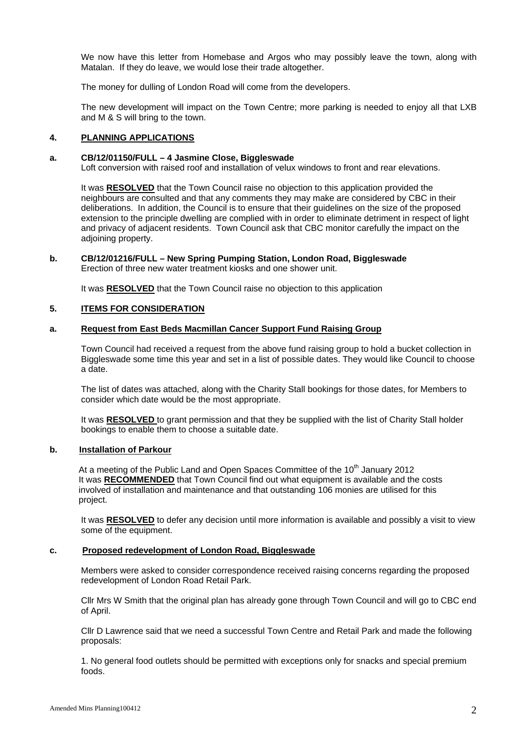We now have this letter from Homebase and Argos who may possibly leave the town, along with Matalan. If they do leave, we would lose their trade altogether.

The money for dulling of London Road will come from the developers.

The new development will impact on the Town Centre; more parking is needed to enjoy all that LXB and M & S will bring to the town.

#### **4. PLANNING APPLICATIONS**

## **a. CB/12/01150/FULL – 4 Jasmine Close, Biggleswade**

Loft conversion with raised roof and installation of velux windows to front and rear elevations.

It was **RESOLVED** that the Town Council raise no objection to this application provided the neighbours are consulted and that any comments they may make are considered by CBC in their deliberations. In addition, the Council is to ensure that their guidelines on the size of the proposed extension to the principle dwelling are complied with in order to eliminate detriment in respect of light and privacy of adjacent residents. Town Council ask that CBC monitor carefully the impact on the adjoining property.

# **b. CB/12/01216/FULL – New Spring Pumping Station, London Road, Biggleswade**

Erection of three new water treatment kiosks and one shower unit.

It was **RESOLVED** that the Town Council raise no objection to this application

# **5. ITEMS FOR CONSIDERATION**

## **a. Request from East Beds Macmillan Cancer Support Fund Raising Group**

Town Council had received a request from the above fund raising group to hold a bucket collection in Biggleswade some time this year and set in a list of possible dates. They would like Council to choose a date.

The list of dates was attached, along with the Charity Stall bookings for those dates, for Members to consider which date would be the most appropriate.

It was **RESOLVED** to grant permission and that they be supplied with the list of Charity Stall holder bookings to enable them to choose a suitable date.

## **b. Installation of Parkour**

At a meeting of the Public Land and Open Spaces Committee of the  $10<sup>th</sup>$  January 2012 It was **RECOMMENDED** that Town Council find out what equipment is available and the costs involved of installation and maintenance and that outstanding 106 monies are utilised for this project.

It was **RESOLVED** to defer any decision until more information is available and possibly a visit to view some of the equipment.

#### **c. Proposed redevelopment of London Road, Biggleswade**

Members were asked to consider correspondence received raising concerns regarding the proposed redevelopment of London Road Retail Park.

Cllr Mrs W Smith that the original plan has already gone through Town Council and will go to CBC end of April.

Cllr D Lawrence said that we need a successful Town Centre and Retail Park and made the following proposals:

1. No general food outlets should be permitted with exceptions only for snacks and special premium foods.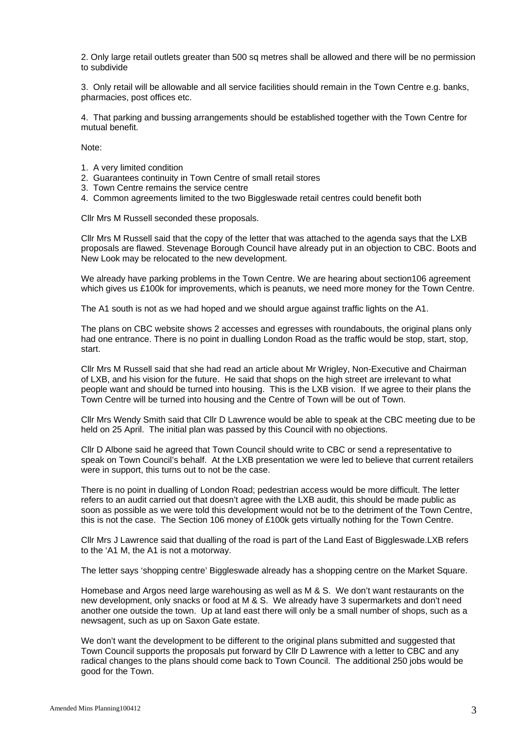2. Only large retail outlets greater than 500 sq metres shall be allowed and there will be no permission to subdivide

3. Only retail will be allowable and all service facilities should remain in the Town Centre e.g. banks, pharmacies, post offices etc.

4. That parking and bussing arrangements should be established together with the Town Centre for mutual benefit.

Note:

- 1. A very limited condition
- 2. Guarantees continuity in Town Centre of small retail stores
- 3. Town Centre remains the service centre
- 4. Common agreements limited to the two Biggleswade retail centres could benefit both

Cllr Mrs M Russell seconded these proposals.

Cllr Mrs M Russell said that the copy of the letter that was attached to the agenda says that the LXB proposals are flawed. Stevenage Borough Council have already put in an objection to CBC. Boots and New Look may be relocated to the new development.

We already have parking problems in the Town Centre. We are hearing about section106 agreement which gives us £100k for improvements, which is peanuts, we need more money for the Town Centre.

The A1 south is not as we had hoped and we should argue against traffic lights on the A1.

The plans on CBC website shows 2 accesses and egresses with roundabouts, the original plans only had one entrance. There is no point in dualling London Road as the traffic would be stop, start, stop, start.

Cllr Mrs M Russell said that she had read an article about Mr Wrigley, Non-Executive and Chairman of LXB, and his vision for the future. He said that shops on the high street are irrelevant to what people want and should be turned into housing. This is the LXB vision. If we agree to their plans the Town Centre will be turned into housing and the Centre of Town will be out of Town.

Cllr Mrs Wendy Smith said that Cllr D Lawrence would be able to speak at the CBC meeting due to be held on 25 April. The initial plan was passed by this Council with no objections.

Cllr D Albone said he agreed that Town Council should write to CBC or send a representative to speak on Town Council's behalf. At the LXB presentation we were led to believe that current retailers were in support, this turns out to not be the case.

There is no point in dualling of London Road; pedestrian access would be more difficult. The letter refers to an audit carried out that doesn't agree with the LXB audit, this should be made public as soon as possible as we were told this development would not be to the detriment of the Town Centre, this is not the case. The Section 106 money of £100k gets virtually nothing for the Town Centre.

Cllr Mrs J Lawrence said that dualling of the road is part of the Land East of Biggleswade.LXB refers to the 'A1 M, the A1 is not a motorway.

The letter says 'shopping centre' Biggleswade already has a shopping centre on the Market Square.

Homebase and Argos need large warehousing as well as M & S. We don't want restaurants on the new development, only snacks or food at M & S. We already have 3 supermarkets and don't need another one outside the town. Up at land east there will only be a small number of shops, such as a newsagent, such as up on Saxon Gate estate.

We don't want the development to be different to the original plans submitted and suggested that Town Council supports the proposals put forward by Cllr D Lawrence with a letter to CBC and any radical changes to the plans should come back to Town Council. The additional 250 jobs would be good for the Town.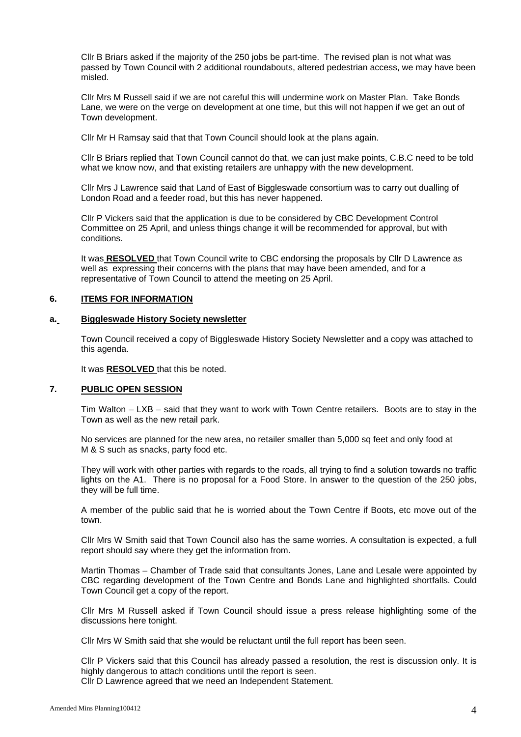Cllr B Briars asked if the majority of the 250 jobs be part-time. The revised plan is not what was passed by Town Council with 2 additional roundabouts, altered pedestrian access, we may have been misled.

Cllr Mrs M Russell said if we are not careful this will undermine work on Master Plan. Take Bonds Lane, we were on the verge on development at one time, but this will not happen if we get an out of Town development.

Cllr Mr H Ramsay said that that Town Council should look at the plans again.

Cllr B Briars replied that Town Council cannot do that, we can just make points, C.B.C need to be told what we know now, and that existing retailers are unhappy with the new development.

Cllr Mrs J Lawrence said that Land of East of Biggleswade consortium was to carry out dualling of London Road and a feeder road, but this has never happened.

Cllr P Vickers said that the application is due to be considered by CBC Development Control Committee on 25 April, and unless things change it will be recommended for approval, but with conditions.

It was **RESOLVED** that Town Council write to CBC endorsing the proposals by Cllr D Lawrence as well as expressing their concerns with the plans that may have been amended, and for a representative of Town Council to attend the meeting on 25 April.

#### **6. ITEMS FOR INFORMATION**

#### **a. Biggleswade History Society newsletter**

Town Council received a copy of Biggleswade History Society Newsletter and a copy was attached to this agenda.

It was **RESOLVED** that this be noted.

# **7. PUBLIC OPEN SESSION**

Tim Walton – LXB – said that they want to work with Town Centre retailers. Boots are to stay in the Town as well as the new retail park.

No services are planned for the new area, no retailer smaller than 5,000 sq feet and only food at M & S such as snacks, party food etc.

They will work with other parties with regards to the roads, all trying to find a solution towards no traffic lights on the A1. There is no proposal for a Food Store. In answer to the question of the 250 jobs, they will be full time.

A member of the public said that he is worried about the Town Centre if Boots, etc move out of the town.

Cllr Mrs W Smith said that Town Council also has the same worries. A consultation is expected, a full report should say where they get the information from.

Martin Thomas – Chamber of Trade said that consultants Jones, Lane and Lesale were appointed by CBC regarding development of the Town Centre and Bonds Lane and highlighted shortfalls. Could Town Council get a copy of the report.

Cllr Mrs M Russell asked if Town Council should issue a press release highlighting some of the discussions here tonight.

Cllr Mrs W Smith said that she would be reluctant until the full report has been seen.

Cllr P Vickers said that this Council has already passed a resolution, the rest is discussion only. It is highly dangerous to attach conditions until the report is seen.

Cllr D Lawrence agreed that we need an Independent Statement.